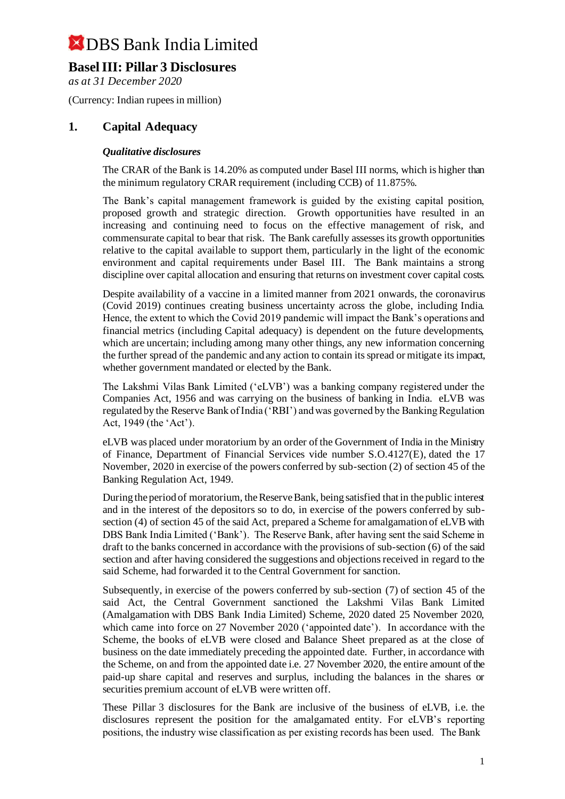### **Basel III: Pillar 3 Disclosures**

*as at 31 December 2020*

(Currency: Indian rupees in million)

### **1. Capital Adequacy**

#### *Qualitative disclosures*

The CRAR of the Bank is 14.20% as computed under Basel III norms, which is higher than the minimum regulatory CRAR requirement (including CCB) of 11.875%.

The Bank's capital management framework is guided by the existing capital position, proposed growth and strategic direction. Growth opportunities have resulted in an increasing and continuing need to focus on the effective management of risk, and commensurate capital to bear that risk. The Bank carefully assesses its growth opportunities relative to the capital available to support them, particularly in the light of the economic environment and capital requirements under Basel III. The Bank maintains a strong discipline over capital allocation and ensuring that returns on investment cover capital costs.

Despite availability of a vaccine in a limited manner from 2021 onwards, the coronavirus (Covid 2019) continues creating business uncertainty across the globe, including India. Hence, the extent to which the Covid 2019 pandemic will impact the Bank's operations and financial metrics (including Capital adequacy) is dependent on the future developments, which are uncertain; including among many other things, any new information concerning the further spread of the pandemic and any action to contain its spread or mitigate its impact, whether government mandated or elected by the Bank.

The Lakshmi Vilas Bank Limited ('eLVB') was a banking company registered under the Companies Act, 1956 and was carrying on the business of banking in India. eLVB was regulated by the Reserve Bank of India ('RBI') and was governed by the Banking Regulation Act, 1949 (the 'Act').

eLVB was placed under moratorium by an order of the Government of India in the Ministry of Finance, Department of Financial Services vide number S.O.4127(E), dated the 17 November, 2020 in exercise of the powers conferred by sub-section (2) of section 45 of the Banking Regulation Act, 1949.

During the period of moratorium, the Reserve Bank, being satisfied that in the public interest and in the interest of the depositors so to do, in exercise of the powers conferred by subsection (4) of section 45 of the said Act, prepared a Scheme for amalgamation of eLVB with DBS Bank India Limited ('Bank'). The Reserve Bank, after having sent the said Scheme in draft to the banks concerned in accordance with the provisions of sub-section (6) of the said section and after having considered the suggestions and objections received in regard to the said Scheme, had forwarded it to the Central Government for sanction.

Subsequently, in exercise of the powers conferred by sub-section (7) of section 45 of the said Act, the Central Government sanctioned the Lakshmi Vilas Bank Limited (Amalgamation with DBS Bank India Limited) Scheme, 2020 dated 25 November 2020, which came into force on 27 November 2020 ('appointed date'). In accordance with the Scheme, the books of eLVB were closed and Balance Sheet prepared as at the close of business on the date immediately preceding the appointed date. Further, in accordance with the Scheme, on and from the appointed date i.e. 27 November 2020, the entire amount of the paid-up share capital and reserves and surplus, including the balances in the shares or securities premium account of eLVB were written off.

These Pillar 3 disclosures for the Bank are inclusive of the business of eLVB, i.e. the disclosures represent the position for the amalgamated entity. For eLVB's reporting positions, the industry wise classification as per existing records has been used. The Bank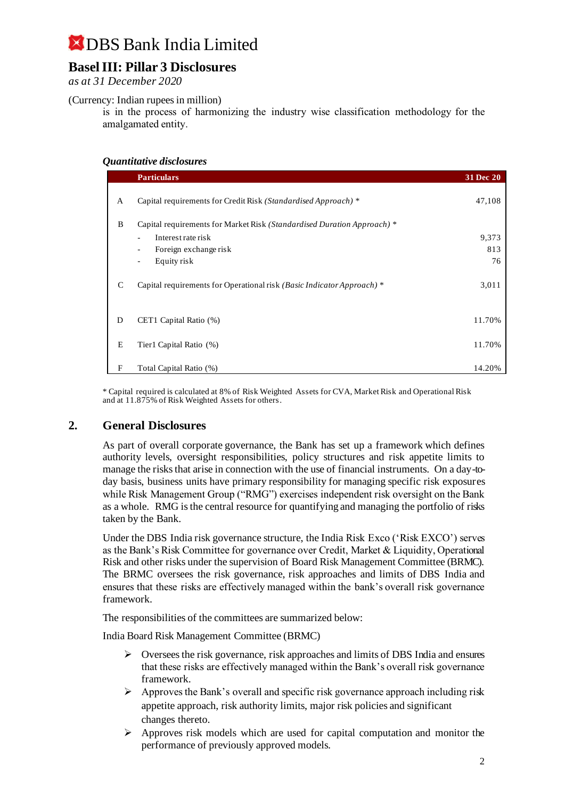### **Basel III: Pillar 3 Disclosures**

*as at 31 December 2020*

(Currency: Indian rupees in million)

is in the process of harmonizing the industry wise classification methodology for the amalgamated entity.

#### *Quantitative disclosures*

|   | <b>Particulars</b>                                                      | 31 Dec 20 |
|---|-------------------------------------------------------------------------|-----------|
| A | Capital requirements for Credit Risk (Standardised Approach) *          | 47,108    |
| B | Capital requirements for Market Risk (Standardised Duration Approach) * |           |
|   | Interest rate risk                                                      | 9,373     |
|   | Foreign exchange risk<br>$\blacksquare$                                 | 813       |
|   | Equity risk<br>$\overline{\phantom{a}}$                                 | 76        |
| C | Capital requirements for Operational risk (Basic Indicator Approach) *  | 3,011     |
| D | CET1 Capital Ratio (%)                                                  | 11.70%    |
| E | Tier1 Capital Ratio (%)                                                 | 11.70%    |
| F | Total Capital Ratio (%)                                                 | 14.20%    |

\* Capital required is calculated at 8% of Risk Weighted Assets for CVA, Market Risk and Operational Risk and at 11.875% of Risk Weighted Assets for others.

### **2. General Disclosures**

As part of overall corporate governance, the Bank has set up a framework which defines authority levels, oversight responsibilities, policy structures and risk appetite limits to manage the risks that arise in connection with the use of financial instruments. On a day-today basis, business units have primary responsibility for managing specific risk exposures while Risk Management Group ("RMG") exercises independent risk oversight on the Bank as a whole. RMG is the central resource for quantifying and managing the portfolio of risks taken by the Bank.

Under the DBS India risk governance structure, the India Risk Exco ('Risk EXCO') serves as the Bank's Risk Committee for governance over Credit, Market & Liquidity, Operational Risk and other risks under the supervision of Board Risk Management Committee (BRMC). The BRMC oversees the risk governance, risk approaches and limits of DBS India and ensures that these risks are effectively managed within the bank's overall risk governance framework.

The responsibilities of the committees are summarized below:

India Board Risk Management Committee (BRMC)

- $\triangleright$  Oversees the risk governance, risk approaches and limits of DBS India and ensures that these risks are effectively managed within the Bank's overall risk governance framework.
- $\triangleright$  Approves the Bank's overall and specific risk governance approach including risk appetite approach, risk authority limits, major risk policies and significant changes thereto.
- $\triangleright$  Approves risk models which are used for capital computation and monitor the performance of previously approved models.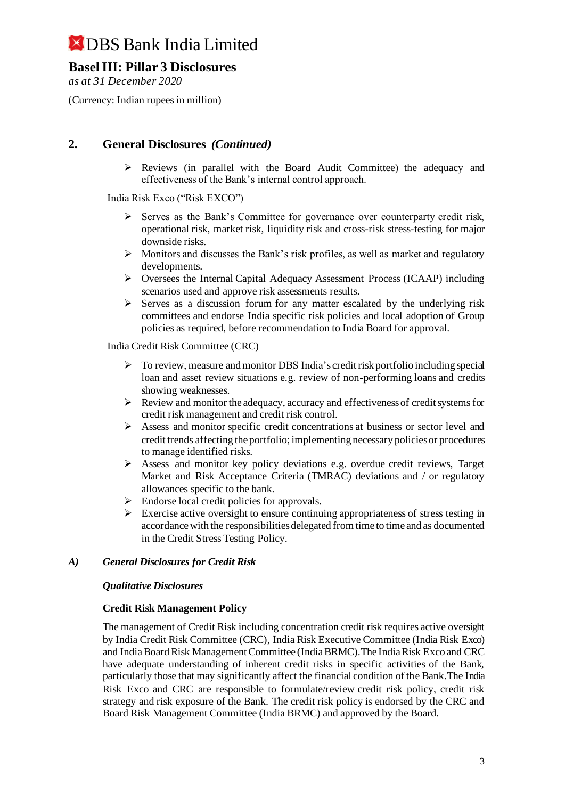### **Basel III: Pillar 3 Disclosures**

*as at 31 December 2020*

(Currency: Indian rupees in million)

### **2. General Disclosures** *(Continued)*

 $\triangleright$  Reviews (in parallel with the Board Audit Committee) the adequacy and effectiveness of the Bank's internal control approach.

India Risk Exco ("Risk EXCO")

- ➢ Serves as the Bank's Committee for governance over counterparty credit risk, operational risk, market risk, liquidity risk and cross-risk stress-testing for major downside risks.
- ➢ Monitors and discusses the Bank's risk profiles, as well as market and regulatory developments.
- ➢ Oversees the Internal Capital Adequacy Assessment Process (ICAAP) including scenarios used and approve risk assessments results.
- $\triangleright$  Serves as a discussion forum for any matter escalated by the underlying risk committees and endorse India specific risk policies and local adoption of Group policies as required, before recommendation to India Board for approval.

India Credit Risk Committee (CRC)

- ➢ To review, measure and monitor DBS India's credit risk portfolio including special loan and asset review situations e.g. review of non-performing loans and credits showing weaknesses.
- ➢ Review and monitor the adequacy, accuracy and effectiveness of credit systems for credit risk management and credit risk control.
- ➢ Assess and monitor specific credit concentrations at business or sector level and credit trends affecting the portfolio; implementing necessary policies or procedures to manage identified risks.
- ➢ Assess and monitor key policy deviations e.g. overdue credit reviews, Target Market and Risk Acceptance Criteria (TMRAC) deviations and / or regulatory allowances specific to the bank.
- ➢ Endorse local credit policies for approvals.
- ➢ Exercise active oversight to ensure continuing appropriateness of stress testing in accordance with the responsibilities delegated from time to time and as documented in the Credit Stress Testing Policy.

#### *A) General Disclosures for Credit Risk*

#### *Qualitative Disclosures*

#### **Credit Risk Management Policy**

The management of Credit Risk including concentration credit risk requires active oversight by India Credit Risk Committee (CRC), India Risk Executive Committee (India Risk Exco) and India Board Risk Management Committee (India BRMC).The India Risk Exco and CRC have adequate understanding of inherent credit risks in specific activities of the Bank, particularly those that may significantly affect the financial condition of the Bank.The India Risk Exco and CRC are responsible to formulate/review credit risk policy, credit risk strategy and risk exposure of the Bank. The credit risk policy is endorsed by the CRC and Board Risk Management Committee (India BRMC) and approved by the Board.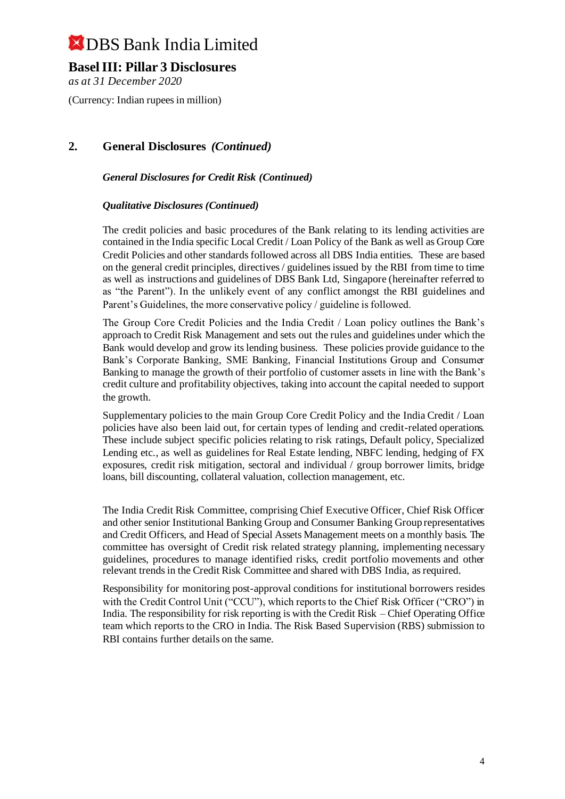### **Basel III: Pillar 3 Disclosures**

*as at 31 December 2020*

(Currency: Indian rupees in million)

### **2. General Disclosures** *(Continued)*

*General Disclosures for Credit Risk (Continued)*

#### *Qualitative Disclosures (Continued)*

The credit policies and basic procedures of the Bank relating to its lending activities are contained in the India specific Local Credit / Loan Policy of the Bank as well as Group Core Credit Policies and other standards followed across all DBS India entities. These are based on the general credit principles, directives / guidelines issued by the RBI from time to time as well as instructions and guidelines of DBS Bank Ltd, Singapore (hereinafter referred to as "the Parent"). In the unlikely event of any conflict amongst the RBI guidelines and Parent's Guidelines, the more conservative policy / guideline is followed.

The Group Core Credit Policies and the India Credit / Loan policy outlines the Bank's approach to Credit Risk Management and sets out the rules and guidelines under which the Bank would develop and grow its lending business. These policies provide guidance to the Bank's Corporate Banking, SME Banking, Financial Institutions Group and Consumer Banking to manage the growth of their portfolio of customer assets in line with the Bank's credit culture and profitability objectives, taking into account the capital needed to support the growth.

Supplementary policies to the main Group Core Credit Policy and the India Credit / Loan policies have also been laid out, for certain types of lending and credit-related operations. These include subject specific policies relating to risk ratings, Default policy, Specialized Lending etc., as well as guidelines for Real Estate lending, NBFC lending, hedging of FX exposures, credit risk mitigation, sectoral and individual / group borrower limits, bridge loans, bill discounting, collateral valuation, collection management, etc.

The India Credit Risk Committee, comprising Chief Executive Officer, Chief Risk Officer and other senior Institutional Banking Group and Consumer Banking Group representatives and Credit Officers, and Head of Special Assets Management meets on a monthly basis. The committee has oversight of Credit risk related strategy planning, implementing necessary guidelines, procedures to manage identified risks, credit portfolio movements and other relevant trends in the Credit Risk Committee and shared with DBS India, as required.

Responsibility for monitoring post-approval conditions for institutional borrowers resides with the Credit Control Unit ("CCU"), which reports to the Chief Risk Officer ("CRO") in India. The responsibility for risk reporting is with the Credit Risk – Chief Operating Office team which reports to the CRO in India. The Risk Based Supervision (RBS) submission to RBI contains further details on the same.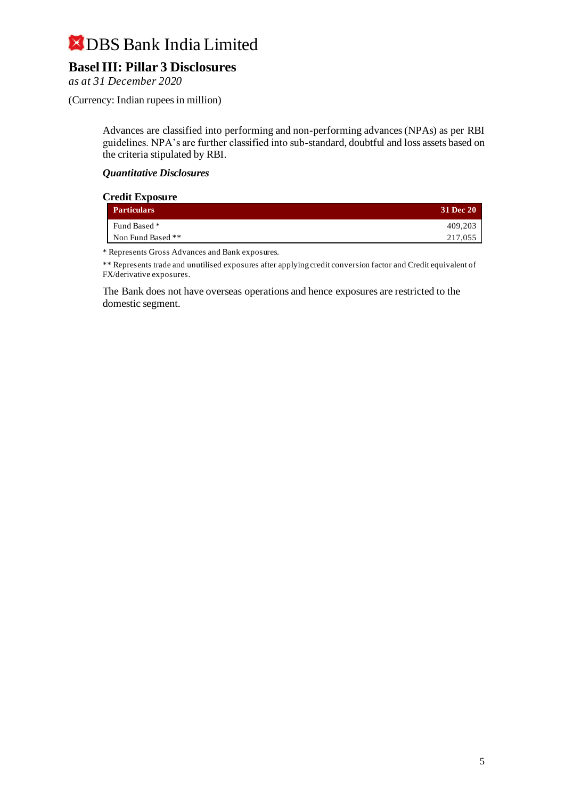## **Basel III: Pillar 3 Disclosures**

*as at 31 December 2020*

(Currency: Indian rupees in million)

Advances are classified into performing and non-performing advances (NPAs) as per RBI guidelines. NPA's are further classified into sub-standard, doubtful and loss assets based on the criteria stipulated by RBI.

#### *Quantitative Disclosures*

| <b>Credit Exposure</b> |                    |           |  |
|------------------------|--------------------|-----------|--|
|                        | <b>Particulars</b> | 31 Dec 20 |  |
|                        | Fund Based *       | 409.203   |  |
|                        | Non Fund Based **  | 217,055   |  |

\* Represents Gross Advances and Bank exposures.

\*\* Represents trade and unutilised exposures after applying credit conversion factor and Credit equivalent of FX/derivative exposures.

The Bank does not have overseas operations and hence exposures are restricted to the domestic segment.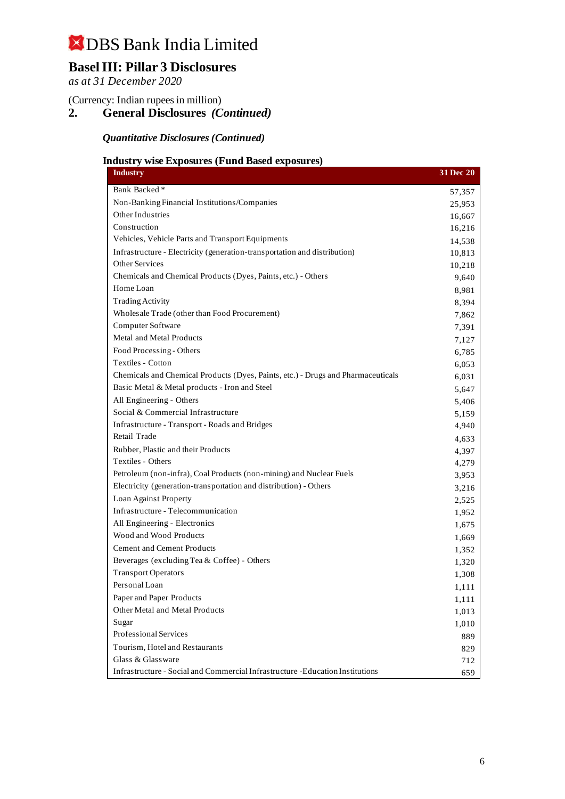## **Basel III: Pillar 3 Disclosures**

*as at 31 December 2020*

(Currency: Indian rupees in million)

**2. General Disclosures** *(Continued)*

*Quantitative Disclosures (Continued)*

#### **Industry wise Exposures (Fund Based exposures)**

| <b>Industry</b>                                                                  | 31 Dec 20 |
|----------------------------------------------------------------------------------|-----------|
| Bank Backed <sup>*</sup>                                                         | 57,357    |
| Non-Banking Financial Institutions/Companies                                     | 25,953    |
| Other Industries                                                                 | 16,667    |
| Construction                                                                     | 16,216    |
| Vehicles, Vehicle Parts and Transport Equipments                                 | 14,538    |
| Infrastructure - Electricity (generation-transportation and distribution)        | 10,813    |
| <b>Other Services</b>                                                            | 10,218    |
| Chemicals and Chemical Products (Dyes, Paints, etc.) - Others                    | 9,640     |
| Home Loan                                                                        | 8,981     |
| <b>Trading Activity</b>                                                          | 8,394     |
| Wholesale Trade (other than Food Procurement)                                    | 7,862     |
| Computer Software                                                                | 7,391     |
| Metal and Metal Products                                                         | 7,127     |
| Food Processing - Others                                                         | 6,785     |
| Textiles - Cotton                                                                | 6,053     |
| Chemicals and Chemical Products (Dyes, Paints, etc.) - Drugs and Pharmaceuticals | 6,031     |
| Basic Metal & Metal products - Iron and Steel                                    | 5,647     |
| All Engineering - Others                                                         | 5,406     |
| Social & Commercial Infrastructure                                               | 5,159     |
| Infrastructure - Transport - Roads and Bridges                                   | 4,940     |
| Retail Trade                                                                     | 4,633     |
| Rubber, Plastic and their Products                                               | 4,397     |
| Textiles - Others                                                                | 4,279     |
| Petroleum (non-infra), Coal Products (non-mining) and Nuclear Fuels              | 3,953     |
| Electricity (generation-transportation and distribution) - Others                | 3,216     |
| Loan Against Property                                                            | 2,525     |
| Infrastructure - Telecommunication                                               | 1,952     |
| All Engineering - Electronics                                                    | 1,675     |
| Wood and Wood Products                                                           | 1,669     |
| <b>Cement and Cement Products</b>                                                | 1,352     |
| Beverages (excluding Tea & Coffee) - Others                                      | 1,320     |
| <b>Transport Operators</b>                                                       | 1,308     |
| Personal Loan                                                                    | 1,111     |
| Paper and Paper Products                                                         | 1,111     |
| Other Metal and Metal Products                                                   | 1,013     |
| Sugar                                                                            | 1,010     |
| Professional Services                                                            | 889       |
| Tourism, Hotel and Restaurants                                                   | 829       |
| Glass & Glassware                                                                | 712       |
| Infrastructure - Social and Commercial Infrastructure - Education Institutions   | 659       |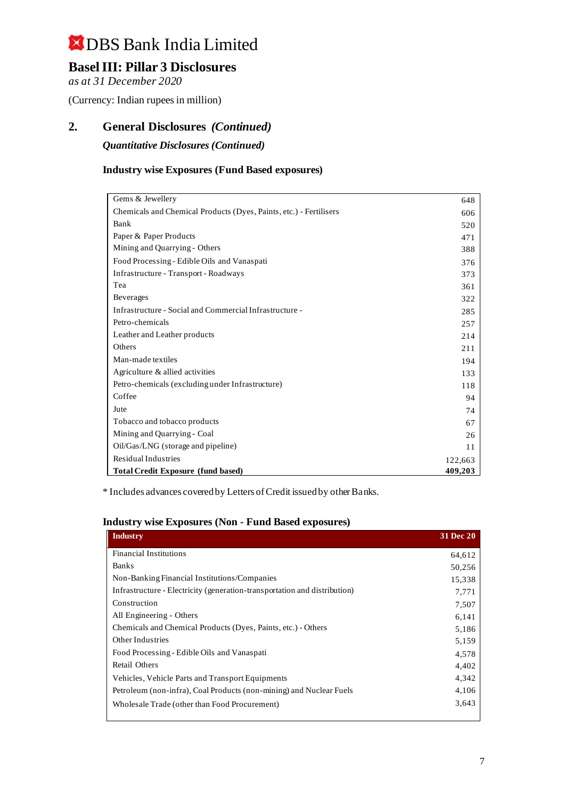## **Basel III: Pillar 3 Disclosures**

*as at 31 December 2020*

(Currency: Indian rupees in million)

### **2. General Disclosures** *(Continued)*

*Quantitative Disclosures (Continued)*

#### **Industry wise Exposures (Fund Based exposures)**

| Gems & Jewellery                                                   | 648     |
|--------------------------------------------------------------------|---------|
| Chemicals and Chemical Products (Dyes, Paints, etc.) - Fertilisers | 606     |
| Bank                                                               | 520     |
| Paper & Paper Products                                             | 471     |
| Mining and Quarrying - Others                                      | 388     |
| Food Processing - Edible Oils and Vanaspati                        | 376     |
| Infrastructure - Transport - Roadways                              | 373     |
| Tea                                                                | 361     |
| <b>Beverages</b>                                                   | 322     |
| Infrastructure - Social and Commercial Infrastructure -            | 285     |
| Petro-chemicals                                                    | 257     |
| Leather and Leather products                                       | 214     |
| Others                                                             | 211     |
| Man-made textiles                                                  | 194     |
| Agriculture & allied activities                                    | 133     |
| Petro-chemicals (excluding under Infrastructure)                   | 118     |
| Coffee                                                             | 94      |
| Jute                                                               | 74      |
| Tobacco and tobacco products                                       | 67      |
| Mining and Quarrying - Coal                                        | 26      |
| Oil/Gas/LNG (storage and pipeline)                                 | 11      |
| <b>Residual Industries</b>                                         | 122,663 |
| <b>Total Credit Exposure (fund based)</b>                          | 409,203 |

\* Includes advances covered by Letters of Credit issued by other Banks.

#### **Industry wise Exposures (Non - Fund Based exposures)**

| <b>Industry</b>                                                           | <b>31 Dec 20</b> |
|---------------------------------------------------------------------------|------------------|
| <b>Financial Institutions</b>                                             | 64,612           |
| <b>Banks</b>                                                              | 50,256           |
| Non-Banking Financial Institutions/Companies                              | 15,338           |
| Infrastructure - Electricity (generation-transportation and distribution) | 7,771            |
| Construction                                                              | 7,507            |
| All Engineering - Others                                                  | 6,141            |
| Chemicals and Chemical Products (Dyes, Paints, etc.) - Others             | 5,186            |
| Other Industries                                                          | 5,159            |
| Food Processing - Edible Oils and Vanaspati                               | 4,578            |
| Retail Others                                                             | 4,402            |
| Vehicles, Vehicle Parts and Transport Equipments                          | 4,342            |
| Petroleum (non-infra), Coal Products (non-mining) and Nuclear Fuels       | 4,106            |
| Wholesale Trade (other than Food Procurement)                             | 3,643            |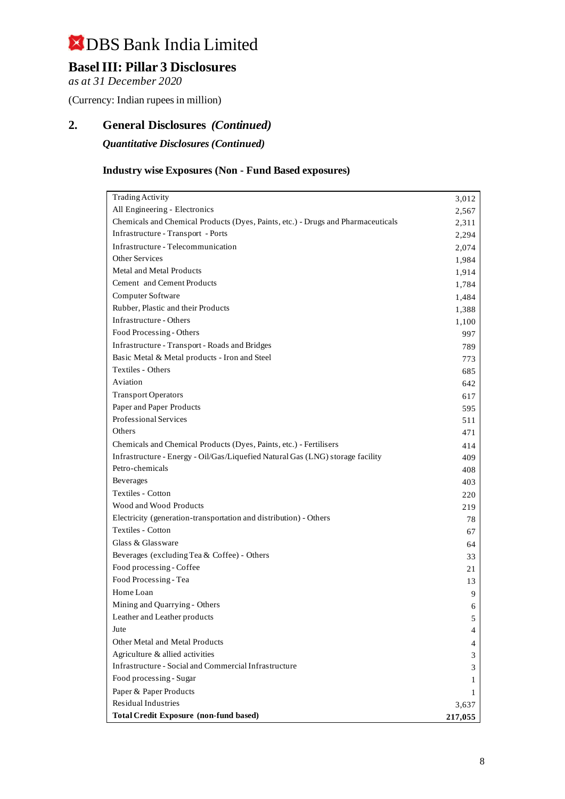## **Basel III: Pillar 3 Disclosures**

*as at 31 December 2020*

(Currency: Indian rupees in million)

### **2. General Disclosures** *(Continued)*

*Quantitative Disclosures (Continued)*

#### **Industry wise Exposures (Non - Fund Based exposures)**

| <b>Trading Activity</b>                                                          | 3,012   |
|----------------------------------------------------------------------------------|---------|
| All Engineering - Electronics                                                    | 2,567   |
| Chemicals and Chemical Products (Dyes, Paints, etc.) - Drugs and Pharmaceuticals | 2,311   |
| Infrastructure - Transport - Ports                                               | 2,294   |
| Infrastructure - Telecommunication                                               | 2,074   |
| <b>Other Services</b>                                                            | 1,984   |
| Metal and Metal Products                                                         | 1,914   |
| Cement and Cement Products                                                       | 1,784   |
| Computer Software                                                                | 1,484   |
| Rubber, Plastic and their Products                                               | 1,388   |
| Infrastructure - Others                                                          | 1,100   |
| Food Processing - Others                                                         | 997     |
| Infrastructure - Transport - Roads and Bridges                                   | 789     |
| Basic Metal & Metal products - Iron and Steel                                    | 773     |
| Textiles - Others                                                                | 685     |
| Aviation                                                                         | 642     |
| <b>Transport Operators</b>                                                       | 617     |
| Paper and Paper Products                                                         | 595     |
| Professional Services                                                            | 511     |
| Others                                                                           | 471     |
| Chemicals and Chemical Products (Dyes, Paints, etc.) - Fertilisers               | 414     |
| Infrastructure - Energy - Oil/Gas/Liquefied Natural Gas (LNG) storage facility   | 409     |
| Petro-chemicals                                                                  | 408     |
| Beverages                                                                        | 403     |
| Textiles - Cotton                                                                | 220     |
| Wood and Wood Products                                                           | 219     |
| Electricity (generation-transportation and distribution) - Others                | 78      |
| Textiles - Cotton                                                                | 67      |
| Glass & Glassware                                                                | 64      |
| Beverages (excluding Tea & Coffee) - Others                                      | 33      |
| Food processing - Coffee                                                         | 21      |
| Food Processing - Tea                                                            | 13      |
| Home Loan                                                                        | 9       |
| Mining and Quarrying - Others                                                    | 6       |
| Leather and Leather products                                                     | 5       |
| Jute                                                                             | 4       |
| Other Metal and Metal Products                                                   | 4       |
| Agriculture & allied activities                                                  | 3       |
| Infrastructure - Social and Commercial Infrastructure                            | 3       |
| Food processing - Sugar                                                          | 1       |
| Paper & Paper Products                                                           | 1       |
| Residual Industries                                                              | 3,637   |
| <b>Total Credit Exposure (non-fund based)</b>                                    | 217,055 |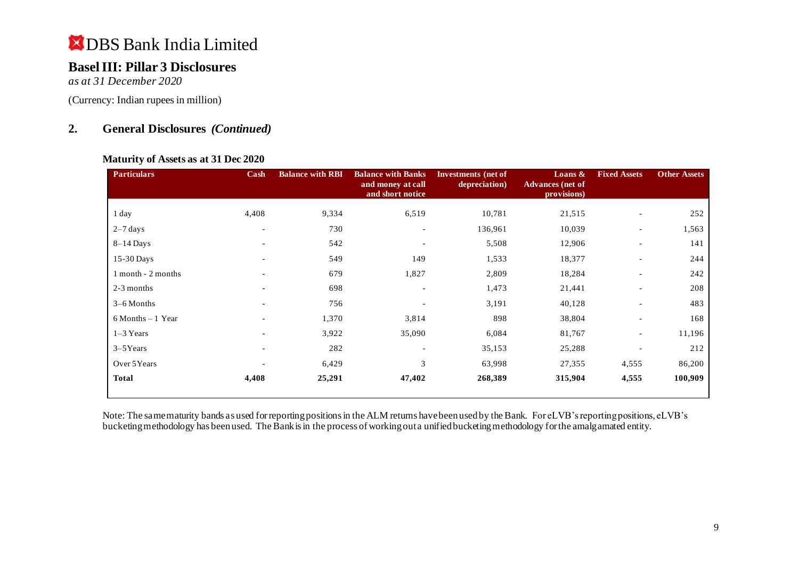### **Basel III: Pillar 3 Disclosures**

*as at 31 December 2020*

(Currency: Indian rupees in million)

### **2. General Disclosures** *(Continued)*

#### **Maturity of Assets as at 31 Dec 2020**

| <b>Particulars</b>   | Cash                         | <b>Balance with RBI</b> | <b>Balance with Banks</b><br>and money at call<br>and short notice | Investments (net of<br>depreciation) | Loans $\&$<br><b>Advances</b> (net of<br>provisions) | <b>Fixed Assets</b>      | <b>Other Assets</b> |
|----------------------|------------------------------|-------------------------|--------------------------------------------------------------------|--------------------------------------|------------------------------------------------------|--------------------------|---------------------|
| 1 day                | 4,408                        | 9,334                   | 6,519                                                              | 10,781                               | 21,515                                               | $\blacksquare$           | 252                 |
| $2-7$ days           | $\overline{\phantom{a}}$     | 730                     | $\overline{\phantom{a}}$                                           | 136,961                              | 10,039                                               | $\blacksquare$           | 1,563               |
| $8-14$ Days          | $\overline{\phantom{0}}$     | 542                     |                                                                    | 5,508                                | 12,906                                               | $\overline{\phantom{a}}$ | 141                 |
| $15-30$ Days         |                              | 549                     | 149                                                                | 1,533                                | 18,377                                               | $\overline{\phantom{a}}$ | 244                 |
| 1 month - 2 months   | $\overline{\phantom{a}}$     | 679                     | 1,827                                                              | 2,809                                | 18,284                                               | $\overline{\phantom{a}}$ | 242                 |
| 2-3 months           |                              | 698                     |                                                                    | 1,473                                | 21,441                                               | $\blacksquare$           | 208                 |
| $3-6$ Months         | $\qquad \qquad \blacksquare$ | 756                     |                                                                    | 3,191                                | 40,128                                               | $\overline{\phantom{a}}$ | 483                 |
| $6$ Months $-1$ Year | $\overline{\phantom{a}}$     | 1,370                   | 3,814                                                              | 898                                  | 38,804                                               | $\blacksquare$           | 168                 |
| $1-3$ Years          | $\equiv$                     | 3,922                   | 35,090                                                             | 6,084                                | 81,767                                               | $\overline{\phantom{a}}$ | 11,196              |
| $3-5$ Years          | $\overline{\phantom{a}}$     | 282                     |                                                                    | 35,153                               | 25,288                                               |                          | 212                 |
| Over 5Years          |                              | 6,429                   | 3                                                                  | 63,998                               | 27,355                                               | 4,555                    | 86,200              |
| <b>Total</b>         | 4,408                        | 25,291                  | 47,402                                                             | 268,389                              | 315,904                                              | 4,555                    | 100,909             |

Note: The same maturity bands as used for reporting positions in the ALM returns have been used by the Bank. For eLVB's reporting positions, eLVB's bucketing methodology has been used. The Bank is in the process of working out a unified bucketing methodology for the amalgamated entity.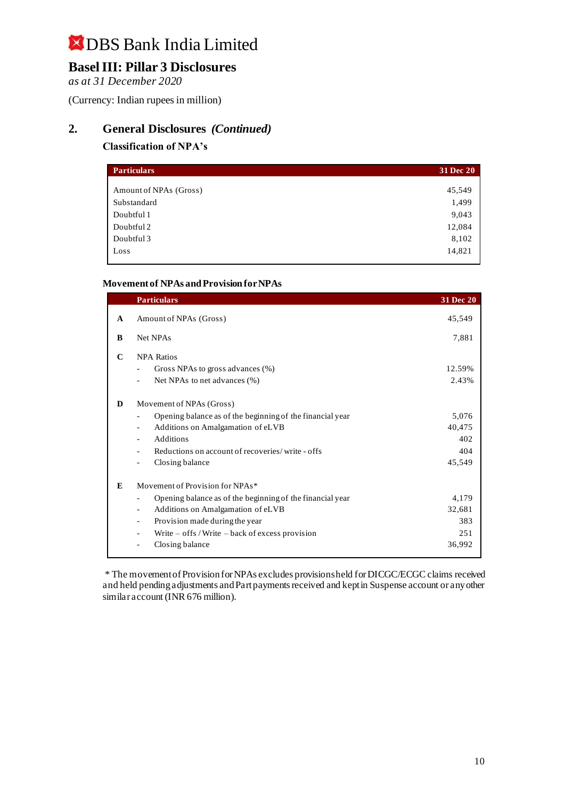## **Basel III: Pillar 3 Disclosures**

*as at 31 December 2020*

(Currency: Indian rupees in million)

### **2. General Disclosures** *(Continued)*

#### **Classification of NPA's**

| <b>Particulars</b>     | 31 Dec 20 |
|------------------------|-----------|
|                        |           |
| Amount of NPAs (Gross) | 45,549    |
| Substandard            | 1,499     |
| Doubtful 1             | 9,043     |
| Doubtful 2             | 12,084    |
| Doubtful 3             | 8,102     |
| Loss                   | 14,821    |

#### **Movement of NPAs and Provision for NPAs**

|              | <b>Particulars</b>                                                                    | 31 Dec 20 |
|--------------|---------------------------------------------------------------------------------------|-----------|
| $\mathbf{A}$ | Amount of NPAs (Gross)                                                                | 45,549    |
| B            | Net NPAs                                                                              | 7,881     |
| $\mathbf C$  | <b>NPA Ratios</b>                                                                     |           |
|              | Gross NPAs to gross advances (%)<br>$\overline{\phantom{a}}$                          | 12.59%    |
|              | Net NPAs to net advances (%)                                                          | 2.43%     |
| D            | Movement of NPAs (Gross)                                                              |           |
|              | Opening balance as of the beginning of the financial year                             | 5,076     |
|              | Additions on Amalgamation of eLVB<br>$\overline{\phantom{0}}$                         | 40,475    |
|              | <b>Additions</b>                                                                      | 402       |
|              | Reductions on account of recoveries/write - offs                                      | 404       |
|              | Closing balance<br>$\overline{\phantom{a}}$                                           | 45,549    |
| E            | Movement of Provision for NPAs*                                                       |           |
|              | Opening balance as of the beginning of the financial year<br>$\overline{\phantom{0}}$ | 4,179     |
|              | Additions on Amalgamation of eLVB                                                     | 32,681    |
|              | Provision made during the year                                                        | 383       |
|              | Write - offs / Write - back of excess provision                                       | 251       |
|              | Closing balance                                                                       | 36,992    |

\* The movement of Provision for NPAs excludes provisions held for DICGC/ECGC claims received and held pending adjustments and Part payments received and kept in Suspense account or any other similar account (INR 676 million).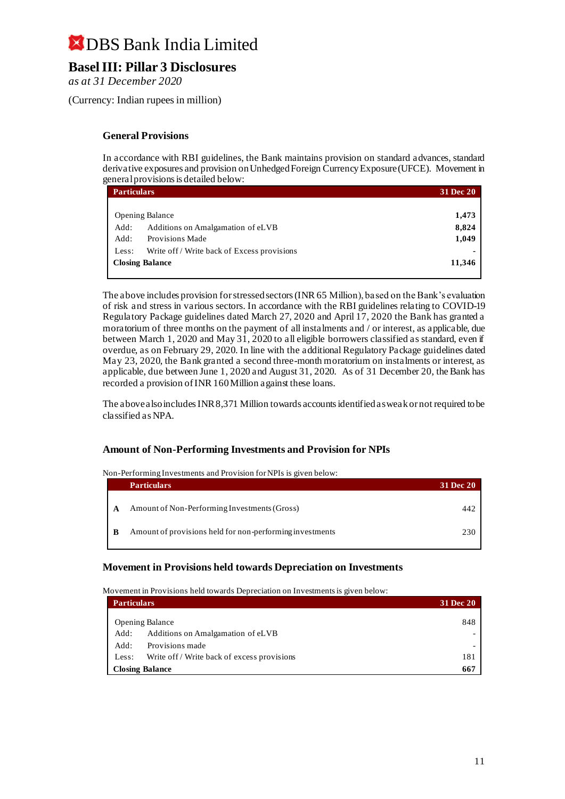### **Basel III: Pillar 3 Disclosures**

*as at 31 December 2020*

(Currency: Indian rupees in million)

#### **General Provisions**

In accordance with RBI guidelines, the Bank maintains provision on standard advances, standard derivative exposures and provision on Unhedged Foreign Currency Exposure (UFCE). Movement in general provisions is detailed below:

| <b>Particulars</b>     |                                             |       |
|------------------------|---------------------------------------------|-------|
|                        |                                             |       |
|                        | <b>Opening Balance</b>                      | 1,473 |
| Add:                   | Additions on Amalgamation of eLVB           | 8,824 |
| Add:                   | Provisions Made                             | 1,049 |
| Less:                  | Write off / Write back of Excess provisions |       |
| <b>Closing Balance</b> |                                             |       |
|                        |                                             |       |

The above includes provision for stressed sectors (INR 65 Million), based on the Bank's evaluation of risk and stress in various sectors. In accordance with the RBI guidelines relating to COVID-19 Regulatory Package guidelines dated March 27, 2020 and April 17, 2020 the Bank has granted a moratorium of three months on the payment of all instalments and / or interest, as applicable, due between March 1, 2020 and May 31, 2020 to all eligible borrowers classified as standard, even if overdue, as on February 29, 2020. In line with the additional Regulatory Package guidelines dated May 23, 2020, the Bank granted a second three-month moratorium on instalments or interest, as applicable, due between June 1, 2020 and August 31, 2020. As of 31 December 20, the Bank has recorded a provision of INR 160 Million against these loans.

The above also includes INR 8,371 Million towards accounts identified as weak or not required to be classified as NPA.

#### **Amount of Non-Performing Investments and Provision for NPIs**

Non-Performing Investments and Provision for NPIs is given below:

|   | <b>Particulars</b>                                       | <b>31 Dec 20</b> |
|---|----------------------------------------------------------|------------------|
| A | Amount of Non-Performing Investments (Gross)             |                  |
| B | Amount of provisions held for non-performing investments | 230              |

#### **Movement in Provisions held towards Depreciation on Investments**

Movement in Provisions held towards Depreciation on Investments is given below:

| <b>Particulars</b>     |                                              |     |
|------------------------|----------------------------------------------|-----|
|                        | <b>Opening Balance</b>                       | 848 |
| Add:                   | Additions on Amalgamation of eLVB            |     |
| Add:                   | Provisions made                              |     |
| Less:                  | Write of f / Write back of excess provisions | 181 |
| <b>Closing Balance</b> |                                              |     |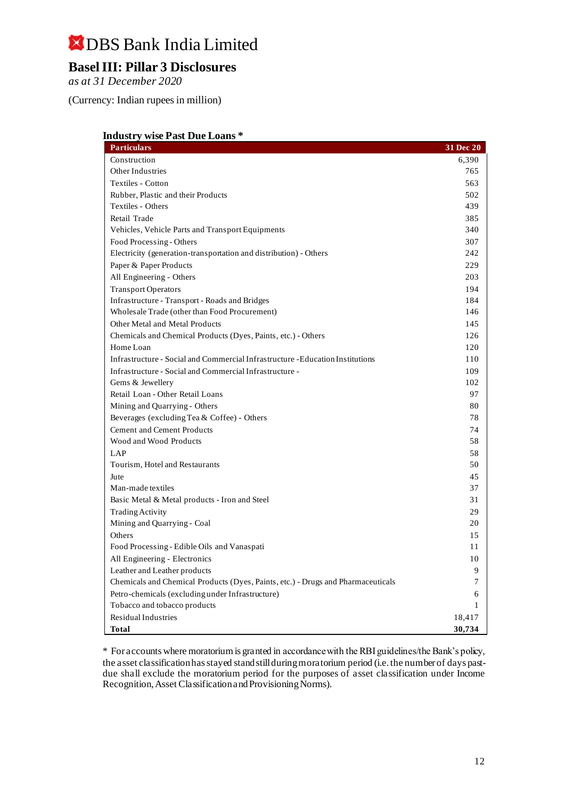## **Basel III: Pillar 3 Disclosures**

*as at 31 December 2020*

(Currency: Indian rupees in million)

| <b>Industry wise Past Due Loans*</b>                                             |           |
|----------------------------------------------------------------------------------|-----------|
| <b>Particulars</b>                                                               | 31 Dec 20 |
| Construction                                                                     | 6,390     |
| Other Industries                                                                 | 765       |
| Textiles - Cotton                                                                | 563       |
| Rubber, Plastic and their Products                                               | 502       |
| Textiles - Others                                                                | 439       |
| Retail Trade                                                                     | 385       |
| Vehicles, Vehicle Parts and Transport Equipments                                 | 340       |
| Food Processing - Others                                                         | 307       |
| Electricity (generation-transportation and distribution) - Others                | 242       |
| Paper & Paper Products                                                           | 229       |
| All Engineering - Others                                                         | 203       |
| <b>Transport Operators</b>                                                       | 194       |
| Infrastructure - Transport - Roads and Bridges                                   | 184       |
| Wholesale Trade (other than Food Procurement)                                    | 146       |
| Other Metal and Metal Products                                                   | 145       |
| Chemicals and Chemical Products (Dyes, Paints, etc.) - Others                    | 126       |
| Home Loan                                                                        | 120       |
| Infrastructure - Social and Commercial Infrastructure - Education Institutions   | 110       |
| Infrastructure - Social and Commercial Infrastructure -                          | 109       |
| Gems & Jewellery                                                                 | 102       |
| Retail Loan - Other Retail Loans                                                 | 97        |
| Mining and Quarrying - Others                                                    | 80        |
| Beverages (excluding Tea & Coffee) - Others                                      | 78        |
| <b>Cement and Cement Products</b>                                                | 74        |
| Wood and Wood Products                                                           | 58        |
| <b>LAP</b>                                                                       | 58        |
| Tourism, Hotel and Restaurants                                                   | 50        |
| Jute                                                                             | 45        |
| Man-made textiles                                                                | 37        |
| Basic Metal & Metal products - Iron and Steel                                    | 31        |
| <b>Trading Activity</b>                                                          | 29        |
| Mining and Quarrying - Coal                                                      | 20        |
| Others                                                                           | 15        |
| Food Processing - Edible Oils and Vanaspati                                      | 11        |
| All Engineering - Electronics                                                    | 10        |
| Leather and Leather products                                                     | 9         |
| Chemicals and Chemical Products (Dyes, Paints, etc.) - Drugs and Pharmaceuticals | 7         |
| Petro-chemicals (excluding under Infrastructure)                                 | 6         |
| Tobacco and tobacco products                                                     | 1         |
| Residual Industries                                                              | 18,417    |
| Total                                                                            | 30,734    |

\* For accounts where moratorium is granted in accordance with the RBI guidelines/the Bank's policy, the asset classification has stayed stand still during moratorium period (i.e. the number of days pastdue shall exclude the moratorium period for the purposes of asset classification under Income Recognition, Asset Classification and Provisioning Norms).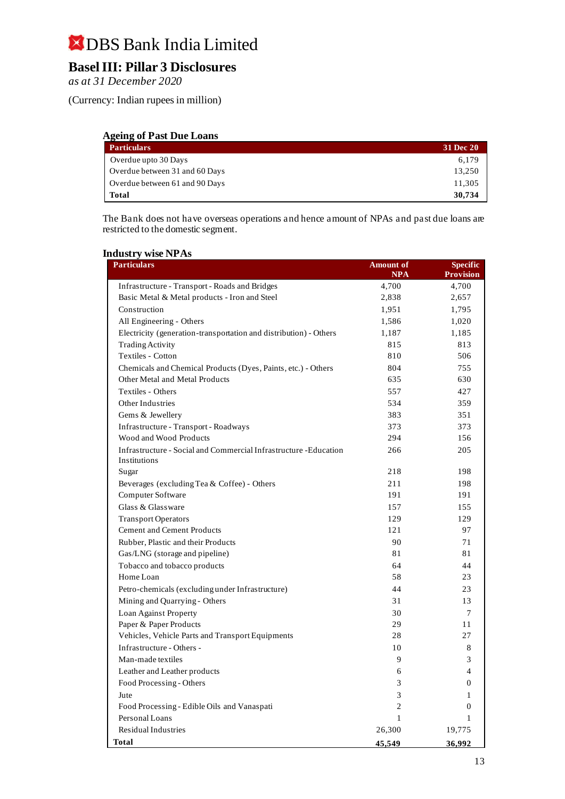## **Basel III: Pillar 3 Disclosures**

*as at 31 December 2020*

(Currency: Indian rupees in million)

#### **Ageing of Past Due Loans**

| <b>Particulars</b>             | 31 Dec 20 |
|--------------------------------|-----------|
| Overdue upto 30 Days           | 6,179     |
| Overdue between 31 and 60 Days | 13,250    |
| Overdue between 61 and 90 Days | 11,305    |
| <b>Total</b>                   | 30,734    |

The Bank does not have overseas operations and hence amount of NPAs and past due loans are restricted to the domestic segment.

#### **Industry wise NPAs**

| $\frac{1}{2}$<br><b>Particulars</b>                                               | <b>Amount</b> of    | Specific                  |
|-----------------------------------------------------------------------------------|---------------------|---------------------------|
| Infrastructure - Transport - Roads and Bridges                                    | <b>NPA</b><br>4,700 | <b>Provision</b><br>4,700 |
| Basic Metal & Metal products - Iron and Steel                                     | 2,838               | 2,657                     |
| Construction                                                                      | 1,951               | 1,795                     |
| All Engineering - Others                                                          | 1,586               | 1,020                     |
| Electricity (generation-transportation and distribution) - Others                 | 1,187               | 1,185                     |
| <b>Trading Activity</b>                                                           | 815                 | 813                       |
| Textiles - Cotton                                                                 | 810                 | 506                       |
| Chemicals and Chemical Products (Dyes, Paints, etc.) - Others                     | 804                 | 755                       |
| Other Metal and Metal Products                                                    | 635                 | 630                       |
| Textiles - Others                                                                 |                     |                           |
| Other Industries                                                                  | 557<br>534          | 427<br>359                |
|                                                                                   |                     |                           |
| Gems & Jewellery                                                                  | 383                 | 351                       |
| Infrastructure - Transport - Roadways<br>Wood and Wood Products                   | 373<br>294          | 373                       |
|                                                                                   |                     | 156                       |
| Infrastructure - Social and Commercial Infrastructure - Education<br>Institutions | 266                 | 205                       |
| Sugar                                                                             | 218                 | 198                       |
| Beverages (excluding Tea & Coffee) - Others                                       | 211                 | 198                       |
| Computer Software                                                                 | 191                 | 191                       |
| Glass & Glassware                                                                 | 157                 | 155                       |
| <b>Transport Operators</b>                                                        | 129                 | 129                       |
| <b>Cement and Cement Products</b>                                                 | 121                 | 97                        |
| Rubber, Plastic and their Products                                                | 90                  | 71                        |
| Gas/LNG (storage and pipeline)                                                    | 81                  | 81                        |
| Tobacco and tobacco products                                                      | 64                  | 44                        |
| Home Loan                                                                         | 58                  | 23                        |
| Petro-chemicals (excluding under Infrastructure)                                  | 44                  | 23                        |
| Mining and Quarrying - Others                                                     | 31                  | 13                        |
| Loan Against Property                                                             | 30                  | 7                         |
| Paper & Paper Products                                                            | 29                  | 11                        |
| Vehicles, Vehicle Parts and Transport Equipments                                  | 28                  | 27                        |
| Infrastructure - Others -                                                         | 10                  | 8                         |
| Man-made textiles                                                                 | $\mathbf Q$         | 3                         |
| Leather and Leather products                                                      | 6                   | $\overline{4}$            |
| Food Processing - Others                                                          | 3                   | $\overline{0}$            |
| Jute                                                                              | 3                   | 1                         |
| Food Processing - Edible Oils and Vanaspati                                       | $\overline{c}$      | $\overline{0}$            |
| Personal Loans                                                                    | $\mathbf{1}$        | $\mathbf{1}$              |
| Residual Industries                                                               | 26,300              | 19,775                    |
| Total                                                                             | 45,549              | 36,992                    |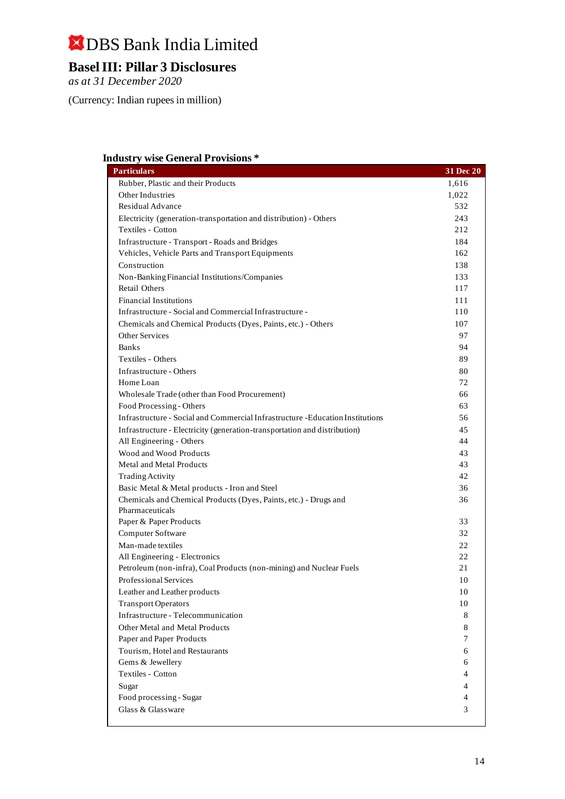## **Basel III: Pillar 3 Disclosures**

*as at 31 December 2020*

(Currency: Indian rupees in million)

#### **Industry wise General Provisions \***

| <b>Particulars</b>                                                             | 31 Dec 20 |
|--------------------------------------------------------------------------------|-----------|
| Rubber, Plastic and their Products                                             | 1,616     |
| Other Industries                                                               | 1,022     |
| Residual Advance                                                               | 532       |
| Electricity (generation-transportation and distribution) - Others              | 243       |
| Textiles - Cotton                                                              | 212       |
| Infrastructure - Transport - Roads and Bridges                                 | 184       |
| Vehicles, Vehicle Parts and Transport Equipments                               | 162       |
| Construction                                                                   | 138       |
| Non-Banking Financial Institutions/Companies                                   | 133       |
| <b>Retail Others</b>                                                           | 117       |
| <b>Financial Institutions</b>                                                  | 111       |
| Infrastructure - Social and Commercial Infrastructure -                        | 110       |
| Chemicals and Chemical Products (Dyes, Paints, etc.) - Others                  | 107       |
| <b>Other Services</b>                                                          | 97        |
| <b>Banks</b>                                                                   | 94        |
| Textiles - Others                                                              | 89        |
| Infrastructure - Others                                                        | 80        |
| Home Loan                                                                      | 72        |
| Wholesale Trade (other than Food Procurement)                                  | 66        |
| Food Processing - Others                                                       | 63        |
| Infrastructure - Social and Commercial Infrastructure - Education Institutions | 56        |
| Infrastructure - Electricity (generation-transportation and distribution)      | 45        |
| All Engineering - Others                                                       | 44        |
| Wood and Wood Products                                                         | 43        |
| Metal and Metal Products                                                       | 43        |
| <b>Trading Activity</b>                                                        | 42        |
| Basic Metal & Metal products - Iron and Steel                                  | 36        |
| Chemicals and Chemical Products (Dyes, Paints, etc.) - Drugs and               | 36        |
| Pharmaceuticals                                                                |           |
| Paper & Paper Products                                                         | 33        |
| Computer Software                                                              | 32        |
| Man-made textiles                                                              | 22        |
| All Engineering - Electronics                                                  | 22        |
| Petroleum (non-infra), Coal Products (non-mining) and Nuclear Fuels            | 21        |
| Professional Services                                                          | 10        |
| Leather and Leather products                                                   | 10        |
| <b>Transport Operators</b>                                                     | 10        |
| Infrastructure - Telecommunication                                             | 8         |
| Other Metal and Metal Products                                                 | 8         |
| Paper and Paper Products                                                       | 7         |
| Tourism, Hotel and Restaurants                                                 | 6         |
| Gems & Jewellery                                                               | 6         |
| Textiles - Cotton                                                              | 4         |
| Sugar                                                                          | 4         |
| Food processing - Sugar                                                        | 4         |
| Glass & Glassware                                                              | 3         |
|                                                                                |           |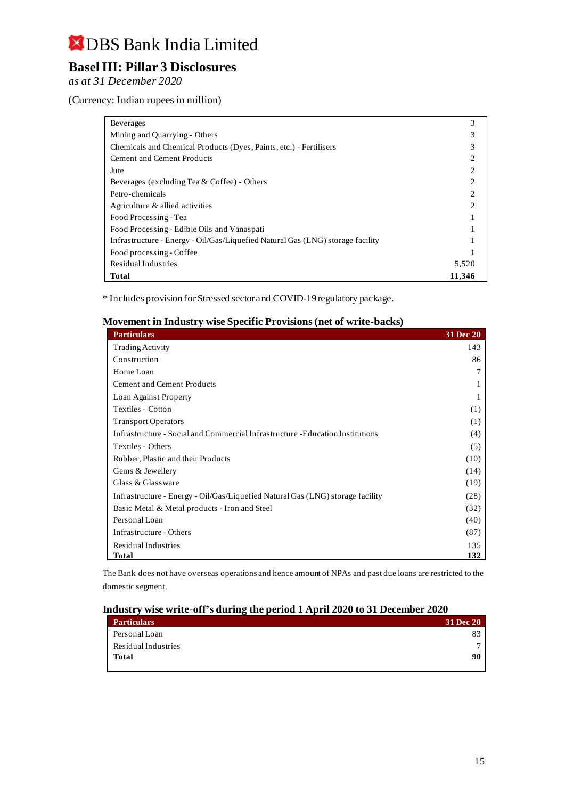## **Basel III: Pillar 3 Disclosures**

*as at 31 December 2020*

(Currency: Indian rupees in million)

| <b>Beverages</b>                                                               | 3      |
|--------------------------------------------------------------------------------|--------|
| Mining and Quarrying - Others                                                  |        |
| Chemicals and Chemical Products (Dyes, Paints, etc.) - Fertilisers             |        |
| <b>Cement and Cement Products</b>                                              |        |
| Jute                                                                           |        |
| Beverages (excluding Tea & Coffee) - Others                                    |        |
| Petro-chemicals                                                                |        |
| Agriculture & allied activities                                                |        |
| Food Processing - Tea                                                          |        |
| Food Processing - Edible Oils and Vanaspati                                    |        |
| Infrastructure - Energy - Oil/Gas/Liquefied Natural Gas (LNG) storage facility |        |
| Food processing - Coffee                                                       |        |
| Residual Industries                                                            | 5,520  |
| Total                                                                          | 11,346 |

\* Includes provision for Stressed sector and COVID-19 regulatory package.

#### **Movement in Industry wise Specific Provisions (net of write-backs)**

| <b>Particulars</b>                                                             | <b>31 Dec 20</b> |
|--------------------------------------------------------------------------------|------------------|
| <b>Trading Activity</b>                                                        | 143              |
| Construction                                                                   | 86               |
| Home Loan                                                                      | 7                |
| <b>Cement and Cement Products</b>                                              |                  |
| Loan Against Property                                                          |                  |
| Textiles - Cotton                                                              | (1)              |
| <b>Transport Operators</b>                                                     | (1)              |
| Infrastructure - Social and Commercial Infrastructure - Education Institutions | (4)              |
| Textiles - Others                                                              | (5)              |
| Rubber, Plastic and their Products                                             | (10)             |
| Gems & Jewellery                                                               | (14)             |
| Glass & Glassware                                                              | (19)             |
| Infrastructure - Energy - Oil/Gas/Liquefied Natural Gas (LNG) storage facility | (28)             |
| Basic Metal & Metal products - Iron and Steel                                  | (32)             |
| Personal Loan                                                                  | (40)             |
| Infrastructure - Others                                                        | (87)             |
| Residual Industries                                                            | 135              |
| <b>Total</b>                                                                   | 132              |

The Bank does not have overseas operations and hence amount of NPAs and past due loans are restricted to the domestic segment.

#### **Industry wise write-off's during the period 1 April 2020 to 31 December 2020**

| <b>Particulars</b>  | <b>31 Dec 20</b> |
|---------------------|------------------|
| Personal Loan       |                  |
| Residual Industries |                  |
| <b>Total</b>        | 90               |
|                     |                  |